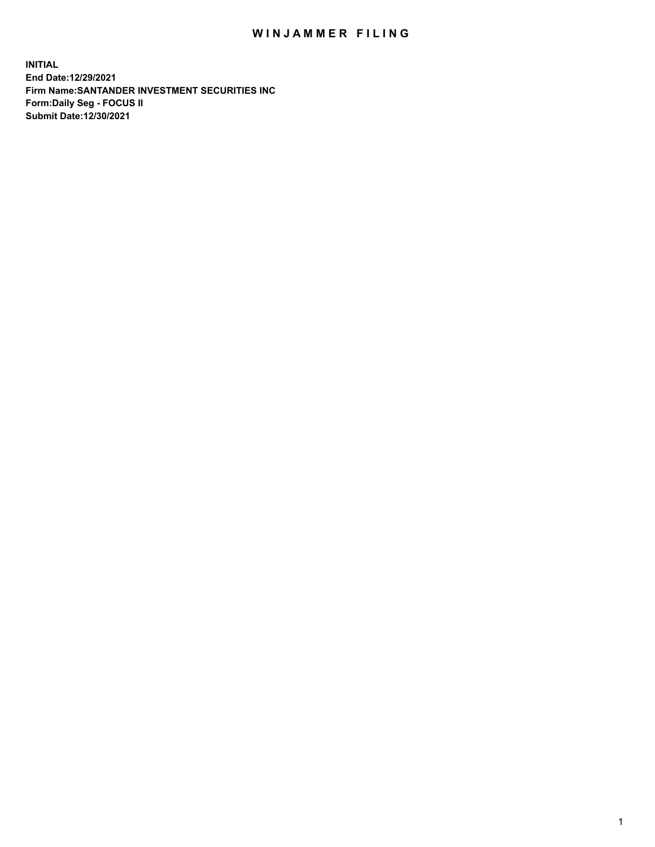## WIN JAMMER FILING

**INITIAL End Date:12/29/2021 Firm Name:SANTANDER INVESTMENT SECURITIES INC Form:Daily Seg - FOCUS II Submit Date:12/30/2021**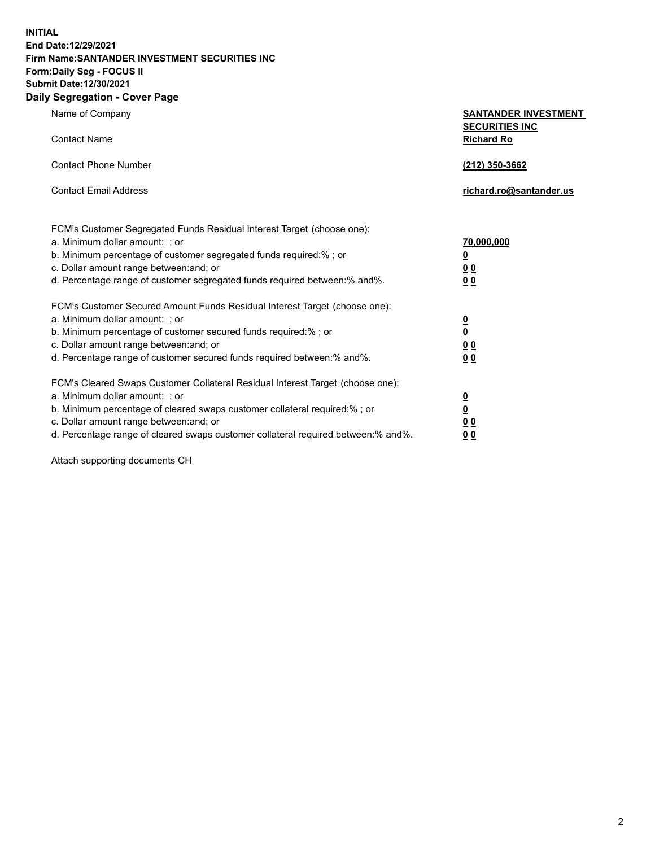**INITIAL End Date:12/29/2021 Firm Name:SANTANDER INVESTMENT SECURITIES INC Form:Daily Seg - FOCUS II Submit Date:12/30/2021 Daily Segregation - Cover Page**

| $\gamma$ ocgi cganon - oo $\gamma$ or i ago                                                                         |                                                      |
|---------------------------------------------------------------------------------------------------------------------|------------------------------------------------------|
| Name of Company                                                                                                     | <b>SANTANDER INVESTMENT</b><br><b>SECURITIES INC</b> |
| <b>Contact Name</b>                                                                                                 | <b>Richard Ro</b>                                    |
| <b>Contact Phone Number</b>                                                                                         | (212) 350-3662                                       |
| <b>Contact Email Address</b>                                                                                        | richard.ro@santander.us                              |
| FCM's Customer Segregated Funds Residual Interest Target (choose one):                                              |                                                      |
| a. Minimum dollar amount: ; or                                                                                      | 70,000,000                                           |
| b. Minimum percentage of customer segregated funds required:%; or                                                   | <u>0</u>                                             |
| c. Dollar amount range between: and; or                                                                             | 0 <sub>0</sub>                                       |
| d. Percentage range of customer segregated funds required between: % and %.                                         | 0 <sub>0</sub>                                       |
| FCM's Customer Secured Amount Funds Residual Interest Target (choose one):                                          |                                                      |
| a. Minimum dollar amount: ; or                                                                                      | $\frac{0}{0}$                                        |
| b. Minimum percentage of customer secured funds required:%; or                                                      |                                                      |
| c. Dollar amount range between: and; or<br>d. Percentage range of customer secured funds required between: % and %. | 0 <sub>0</sub><br>0 <sub>0</sub>                     |
|                                                                                                                     |                                                      |
| FCM's Cleared Swaps Customer Collateral Residual Interest Target (choose one):                                      |                                                      |
| a. Minimum dollar amount: ; or                                                                                      | $\overline{\mathbf{0}}$                              |
| b. Minimum percentage of cleared swaps customer collateral required:%; or                                           | $\overline{\mathbf{0}}$                              |
| c. Dollar amount range between: and; or                                                                             | 00                                                   |
| d. Percentage range of cleared swaps customer collateral required between:% and%.                                   | 00                                                   |

Attach supporting documents CH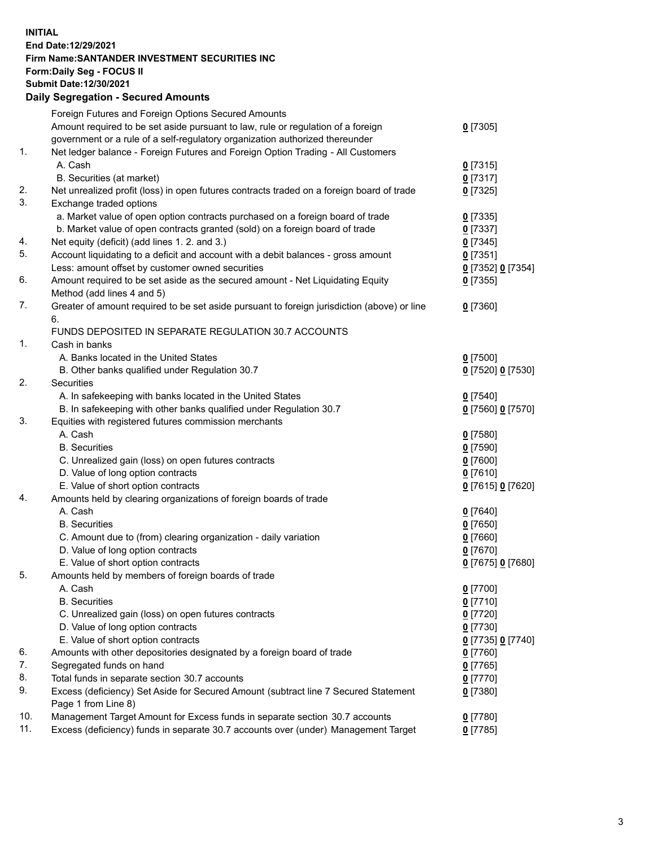## **INITIAL End Date:12/29/2021 Firm Name:SANTANDER INVESTMENT SECURITIES INC Form:Daily Seg - FOCUS II Submit Date:12/30/2021 Daily Segregation - Secured Amounts**

|     | Foreign Futures and Foreign Options Secured Amounts                                         |                   |
|-----|---------------------------------------------------------------------------------------------|-------------------|
|     | Amount required to be set aside pursuant to law, rule or regulation of a foreign            | $0$ [7305]        |
|     | government or a rule of a self-regulatory organization authorized thereunder                |                   |
| 1.  | Net ledger balance - Foreign Futures and Foreign Option Trading - All Customers             |                   |
|     | A. Cash                                                                                     | 0[7315]           |
|     | B. Securities (at market)                                                                   | $0$ [7317]        |
| 2.  | Net unrealized profit (loss) in open futures contracts traded on a foreign board of trade   | $0$ [7325]        |
| 3.  | Exchange traded options                                                                     |                   |
|     | a. Market value of open option contracts purchased on a foreign board of trade              | $0$ [7335]        |
|     | b. Market value of open contracts granted (sold) on a foreign board of trade                | $0$ [7337]        |
| 4.  | Net equity (deficit) (add lines 1. 2. and 3.)                                               | $0$ [7345]        |
| 5.  | Account liquidating to a deficit and account with a debit balances - gross amount           | $0$ [7351]        |
|     | Less: amount offset by customer owned securities                                            | 0 [7352] 0 [7354] |
| 6.  | Amount required to be set aside as the secured amount - Net Liquidating Equity              | $0$ [7355]        |
|     | Method (add lines 4 and 5)                                                                  |                   |
| 7.  | Greater of amount required to be set aside pursuant to foreign jurisdiction (above) or line | $0$ [7360]        |
|     | 6.                                                                                          |                   |
|     | FUNDS DEPOSITED IN SEPARATE REGULATION 30.7 ACCOUNTS                                        |                   |
| 1.  | Cash in banks                                                                               |                   |
|     | A. Banks located in the United States                                                       | $0$ [7500]        |
|     | B. Other banks qualified under Regulation 30.7                                              | 0 [7520] 0 [7530] |
| 2.  | <b>Securities</b>                                                                           |                   |
|     | A. In safekeeping with banks located in the United States                                   | $0$ [7540]        |
|     | B. In safekeeping with other banks qualified under Regulation 30.7                          | 0 [7560] 0 [7570] |
| 3.  | Equities with registered futures commission merchants                                       |                   |
|     | A. Cash                                                                                     | $0$ [7580]        |
|     | <b>B.</b> Securities                                                                        | $0$ [7590]        |
|     | C. Unrealized gain (loss) on open futures contracts                                         | $0$ [7600]        |
|     | D. Value of long option contracts                                                           | $0$ [7610]        |
|     | E. Value of short option contracts                                                          | 0 [7615] 0 [7620] |
| 4.  | Amounts held by clearing organizations of foreign boards of trade                           |                   |
|     | A. Cash                                                                                     | $0$ [7640]        |
|     | <b>B.</b> Securities                                                                        | $0$ [7650]        |
|     | C. Amount due to (from) clearing organization - daily variation                             | $0$ [7660]        |
|     | D. Value of long option contracts                                                           | $0$ [7670]        |
|     | E. Value of short option contracts                                                          | 0 [7675] 0 [7680] |
| 5.  | Amounts held by members of foreign boards of trade                                          |                   |
|     | A. Cash                                                                                     | $0$ [7700]        |
|     | <b>B.</b> Securities                                                                        | $0$ [7710]        |
|     | C. Unrealized gain (loss) on open futures contracts                                         | $0$ [7720]        |
|     | D. Value of long option contracts                                                           | $0$ [7730]        |
|     | E. Value of short option contracts                                                          | 0 [7735] 0 [7740] |
| 6.  | Amounts with other depositories designated by a foreign board of trade                      | $0$ [7760]        |
| 7.  | Segregated funds on hand                                                                    | $0$ [7765]        |
| 8.  | Total funds in separate section 30.7 accounts                                               | $0$ [7770]        |
| 9.  | Excess (deficiency) Set Aside for Secured Amount (subtract line 7 Secured Statement         | $0$ [7380]        |
|     | Page 1 from Line 8)                                                                         |                   |
| 10. | Management Target Amount for Excess funds in separate section 30.7 accounts                 | $0$ [7780]        |
| 11. | Excess (deficiency) funds in separate 30.7 accounts over (under) Management Target          | $0$ [7785]        |
|     |                                                                                             |                   |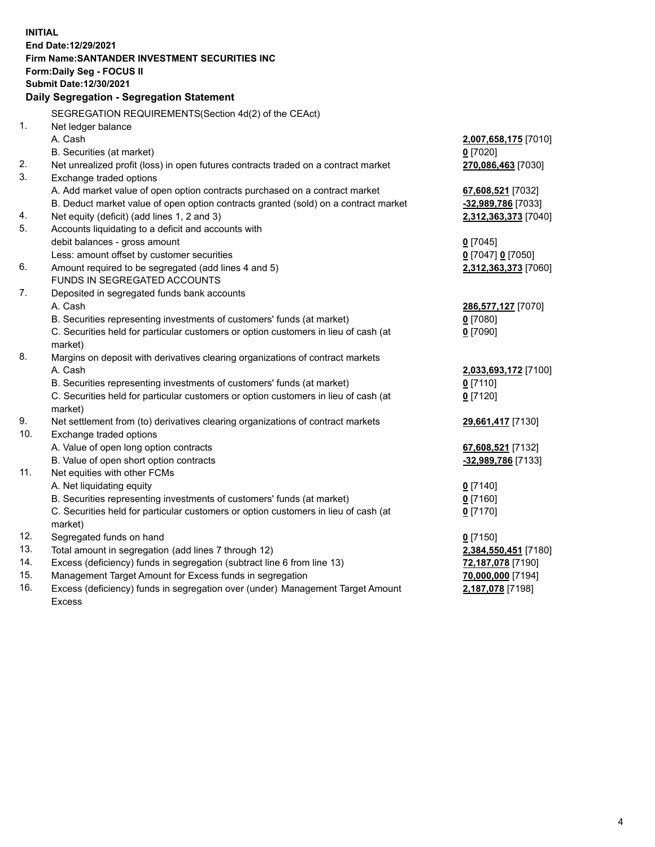| <b>INITIAL</b> |                                                                                            |                                         |
|----------------|--------------------------------------------------------------------------------------------|-----------------------------------------|
|                | End Date:12/29/2021                                                                        |                                         |
|                | Firm Name: SANTANDER INVESTMENT SECURITIES INC                                             |                                         |
|                | Form: Daily Seg - FOCUS II                                                                 |                                         |
|                | Submit Date: 12/30/2021                                                                    |                                         |
|                | Daily Segregation - Segregation Statement                                                  |                                         |
|                | SEGREGATION REQUIREMENTS(Section 4d(2) of the CEAct)                                       |                                         |
| 1.             |                                                                                            |                                         |
|                | Net ledger balance<br>A. Cash                                                              |                                         |
|                |                                                                                            | 2,007,658,175 [7010]                    |
|                | B. Securities (at market)                                                                  | $0$ [7020]                              |
| 2.             | Net unrealized profit (loss) in open futures contracts traded on a contract market         | 270,086,463 [7030]                      |
| 3.             | Exchange traded options                                                                    |                                         |
|                | A. Add market value of open option contracts purchased on a contract market                | 67,608,521 [7032]                       |
|                | B. Deduct market value of open option contracts granted (sold) on a contract market        | -32,989,786 [7033]                      |
| 4.             | Net equity (deficit) (add lines 1, 2 and 3)                                                | 2,312,363,373 [7040]                    |
| 5.             | Accounts liquidating to a deficit and accounts with                                        |                                         |
|                | debit balances - gross amount                                                              | $0$ [7045]                              |
|                | Less: amount offset by customer securities                                                 | 0 [7047] 0 [7050]                       |
| 6.             | Amount required to be segregated (add lines 4 and 5)                                       | 2,312,363,373 [7060]                    |
|                | <b>FUNDS IN SEGREGATED ACCOUNTS</b>                                                        |                                         |
| 7.             | Deposited in segregated funds bank accounts                                                |                                         |
|                | A. Cash                                                                                    | 286,577,127 [7070]                      |
|                | B. Securities representing investments of customers' funds (at market)                     | $0$ [7080]                              |
|                | C. Securities held for particular customers or option customers in lieu of cash (at        | $0$ [7090]                              |
| 8.             | market)                                                                                    |                                         |
|                | Margins on deposit with derivatives clearing organizations of contract markets<br>A. Cash  |                                         |
|                |                                                                                            | 2,033,693,172 [7100]                    |
|                | B. Securities representing investments of customers' funds (at market)                     | $0$ [7110]                              |
|                | C. Securities held for particular customers or option customers in lieu of cash (at        | $0$ [7120]                              |
| 9.             | market)<br>Net settlement from (to) derivatives clearing organizations of contract markets |                                         |
| 10.            | Exchange traded options                                                                    | 29,661,417 [7130]                       |
|                | A. Value of open long option contracts                                                     |                                         |
|                | B. Value of open short option contracts                                                    | 67,608,521 [7132]<br>-32,989,786 [7133] |
| 11.            | Net equities with other FCMs                                                               |                                         |
|                | A. Net liquidating equity                                                                  | $0$ [7140]                              |
|                | B. Securities representing investments of customers' funds (at market)                     | $0$ [7160]                              |
|                | C. Securities held for particular customers or option customers in lieu of cash (at        | $0$ [7170]                              |
|                | market)                                                                                    |                                         |
| 12.            | Segregated funds on hand                                                                   | $0$ [7150]                              |
| 13.            | Total amount in segregation (add lines 7 through 12)                                       | 2,384,550,451 [7180]                    |
| 14.            | Excess (deficiency) funds in segregation (subtract line 6 from line 13)                    | 72,187,078 [7190]                       |
| 15.            | Management Target Amount for Excess funds in segregation                                   | 70,000,000 [7194]                       |
| 16.            | Excess (deficiency) funds in segregation over (under) Management Target Amount             | 2,187,078 [7198]                        |
|                | <b>Excess</b>                                                                              |                                         |
|                |                                                                                            |                                         |